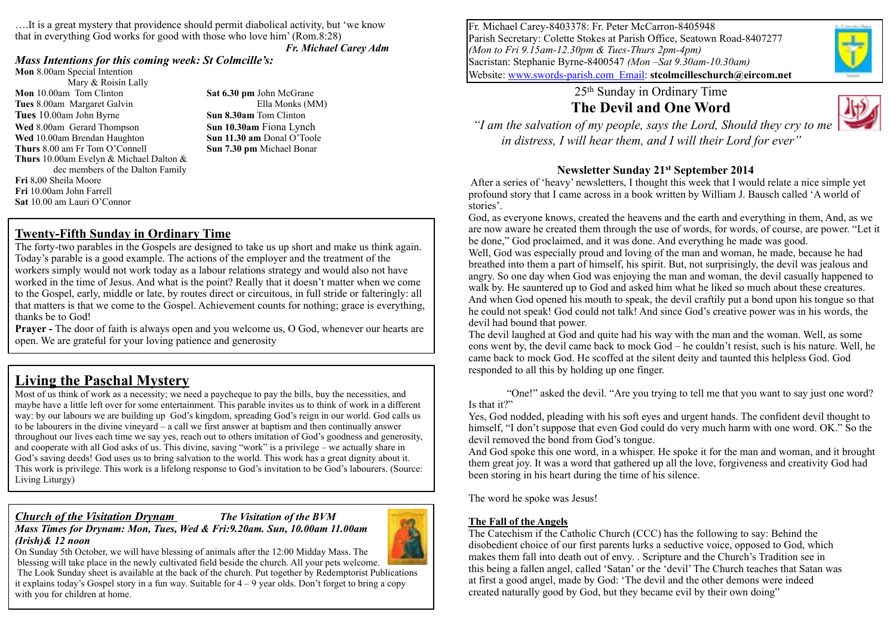….It is a great mystery that providence should permit diabolical activity, but 'we know that in everything God works for good with those who love him' (Rom.8:28)

*Fr. Michael Carey Adm*

# *Mass Intentions for this coming week: St Colmcille's:*

**Mon** 8.00am Special Intention

 Mary & Roisín Lally **Mon** 10.00am Tom Clinton **Sat 6.30 pm** John McGrane **Tues 8.00am Margaret Galvin Ella Monks (MM) Tues** 10.00am John Byrne **Sun 8.30am** Tom Clinton **Wed** 8.00am Gerard Thompson **Sun 10.30am** Fiona Lynch **Wed** 10.00am Brendan Haughton **Sun 11.30 am** Donal O'Toole **Thurs** 8.00 am Fr Tom O'Connell **Sun 7.30 pm** Michael Bonar **Thurs** 10.00am Evelyn & Michael Dalton & dec members of the Dalton Family **Fri** 8**.**00 Sheila Moore **Fri** 10.00am John Farrell **Sat** 10.00 am Lauri O'Connor

#### **Twenty-Fifth Sunday in Ordinary Time**

The forty-two parables in the Gospels are designed to take us up short and make us think again. Today's parable is a good example. The actions of the employer and the treatment of the workers simply would not work today as a labour relations strategy and would also not have worked in the time of Jesus. And what is the point? Really that it doesn't matter when we come to the Gospel, early, middle or late, by routes direct or circuitous, in full stride or falteringly: all that matters is that we come to the Gospel. Achievement counts for nothing; grace is everything, thanks be to God!

**Prayer -** The door of faith is always open and you welcome us, O God, whenever our hearts are open. We are grateful for your loving patience and generosity

# **Living the Paschal Mystery**

Most of us think of work as a necessity; we need a paycheque to pay the bills, buy the necessities, and maybe have a little left over for some entertainment. This parable invites us to think of work in a different way: by our labours we are building up God's kingdom, spreading God's reign in our world. God calls us to be labourers in the divine vineyard – a call we first answer at baptism and then continually answer throughout our lives each time we say yes, reach out to others imitation of God's goodness and generosity, and cooperate with all God asks of us. This divine, saving "work" is a privilege – we actually share in God's saving deeds! God uses us to bring salvation to the world. This work has a great dignity about it. This work is privilege. This work is a lifelong response to God's invitation to be God's labourers. (Source: Living Liturgy)

#### *Church of the Visitation Drynam The Visitation of the BVM Mass Times for Drynam: Mon, Tues, Wed & Fri:9.20am. Sun, 10.00am 11.00am*



*(Irish)& 12 noon*  On Sunday 5th October, we will have blessing of animals after the 12:00 Midday Mass. The

 blessing will take place in the newly cultivated field beside the church. All your pets welcome. The Look Sunday sheet is available at the back of the church. Put together by Redemptorist Publications

it explains today's Gospel story in a fun way. Suitable for  $4 - 9$  year olds. Don't forget to bring a copy with you for children at home.

Fr. Michael Carey-8403378: Fr. Peter McCarron-8405948 Parish Secretary: Colette Stokes at Parish Office, Seatown Road-8407277 *(Mon to Fri 9.15am-12.30pm & Tues-Thurs 2pm-4pm)* Sacristan: Stephanie Byrne-8400547 *(Mon –Sat 9.30am-10.30am)* Website: [www.swords-parish.com Email:](http://www.swords-parish.com%20%20email) **stcolmcilleschurch@eircom.net**

> 25th Sunday in Ordinary Time **The Devil and One Word**



 *"I am the salvation of my people, says the Lord, Should they cry to me in distress, I will hear them, and I will their Lord for ever"* 

#### **Newsletter Sunday 21st September 2014**

 After a series of 'heavy' newsletters, I thought this week that I would relate a nice simple yet profound story that I came across in a book written by William J. Bausch called 'A world of stories'.

God, as everyone knows, created the heavens and the earth and everything in them, And, as we are now aware he created them through the use of words, for words, of course, are power. "Let it be done," God proclaimed, and it was done. And everything he made was good. Well, God was especially proud and loving of the man and woman, he made, because he had breathed into them a part of himself, his spirit. But, not surprisingly, the devil was jealous and angry. So one day when God was enjoying the man and woman, the devil casually happened to walk by. He sauntered up to God and asked him what he liked so much about these creatures. And when God opened his mouth to speak, the devil craftily put a bond upon his tongue so that he could not speak! God could not talk! And since God's creative power was in his words, the devil had bound that power.

The devil laughed at God and quite had his way with the man and the woman. Well, as some eons went by, the devil came back to mock God – he couldn't resist, such is his nature. Well, he came back to mock God. He scoffed at the silent deity and taunted this helpless God. God responded to all this by holding up one finger.

"One!" asked the devil. "Are you trying to tell me that you want to say just one word? Is that it?"

Yes, God nodded, pleading with his soft eyes and urgent hands. The confident devil thought to himself, "I don't suppose that even God could do very much harm with one word. OK." So the devil removed the bond from God's tongue.

And God spoke this one word, in a whisper. He spoke it for the man and woman, and it brought them great joy. It was a word that gathered up all the love, forgiveness and creativity God had been storing in his heart during the time of his silence.

The word he spoke was Jesus!

#### **The Fall of the Angels**

The Catechism if the Catholic Church (CCC) has the following to say: Behind the disobedient choice of our first parents lurks a seductive voice, opposed to God, which makes them fall into death out of envy. . Scripture and the Church's Tradition see in this being a fallen angel, called 'Satan' or the 'devil' The Church teaches that Satan was at first a good angel, made by God: 'The devil and the other demons were indeed created naturally good by God, but they became evil by their own doing"